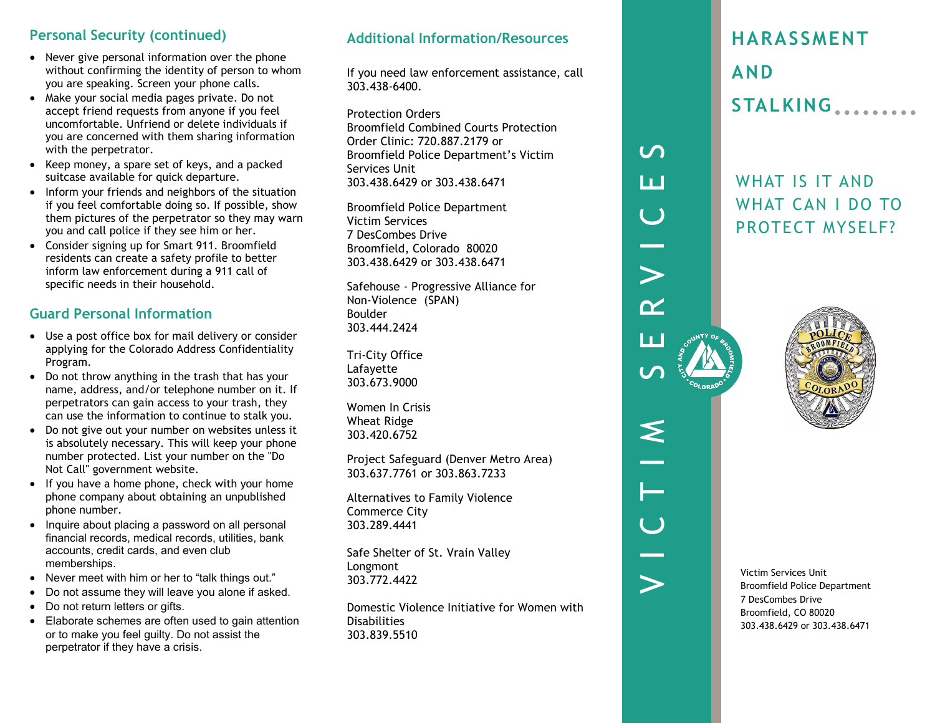#### **Personal Security (continued)**

- Never give personal information over the phone without confirming the identity of person to whom you are speaking. Screen your phone calls.
- Make your social media pages private. Do not accept friend requests from anyone if you feel uncomfortable. Unfriend or delete individuals if you are concerned with them sharing information with the perpetrator.
- Keep money, a spare set of keys, and a packed suitcase available for quick departure.
- Inform your friends and neighbors of the situation if you feel comfortable doing so. If possible, show them pictures of the perpetrator so they may warn you and call police if they see him or her.
- Consider signing up for Smart 911. Broomfield residents can create a safety profile to better inform law enforcement during a 911 call of specific needs in their household.

# **Guard Personal Information**

- Use a post office box for mail delivery or consider applying for the Colorado Address Confidentiality Program.
- Do not throw anything in the trash that has your name, address, and/or telephone number on it. If perpetrators can gain access to your trash, they can use the information to continue to stalk you.
- Do not give out your number on websites unless it is absolutely necessary. This will keep your phone number protected. List your number on the "Do Not Call" government website.
- If you have a home phone, check with your home phone company about obtaining an unpublished phone number.
- Inquire about placing a password on all personal financial records, medical records, utilities, bank accounts, credit cards, and even club memberships.
- Never meet with him or her to "talk things out."
- Do not assume they will leave you alone if asked.
- Do not return letters or gifts.
- Elaborate schemes are often used to gain attention or to make you feel guilty. Do not assist the perpetrator if they have a crisis.

## **Additional Information/Resources**

If you need law enforcement assistance, call 303.438-6400.

Protection Orders Broomfield Combined Courts Protection Order Clinic: 720.887.2179 or Broomfield Police Department's Victim Services Unit 303.438.6429 or 303.438.6471

Broomfield Police Department Victim Services 7 DesCombes Drive Broomfield, Colorado 80020 303.438.6429 or 303.438.6471

Safehouse - Progressive Alliance for Non-Violence (SPAN) Boulder 303.444.2424

Tri-City Office Lafayette 303.673.9000

Women In Crisis Wheat Ridge 303.420.6752

Project Safeguard (Denver Metro Area) 303.637.7761 or 303.863.7233

Alternatives to Family Violence Commerce City 303.289.4441

Safe Shelter of St. Vrain Valley Longmont 303.772.4422

Domestic Violence Initiative for Women with Disabilities 303.839.5510

# **HARASSMENT AND STALKING**

WHAT IS IT AND WHAT CAN I DO TO PROTECT MYSELF?



VICTIM SERVICES

 $\mathbf{U}$ 

Ш

 $\begin{pmatrix} 1 \\ 1 \end{pmatrix}$ 

والمستد

 $\geq$ 

 $\alpha$ 

ப

 $\boldsymbol{U}$ 

 $\leq$ 

Н

 $\overline{C}$ 

 $\blacktriangleright$ 

Victim Services Unit Broomfield Police Department 7 DesCombes Drive Broomfield, CO 80020 303.438.6429 or 303.438.6471